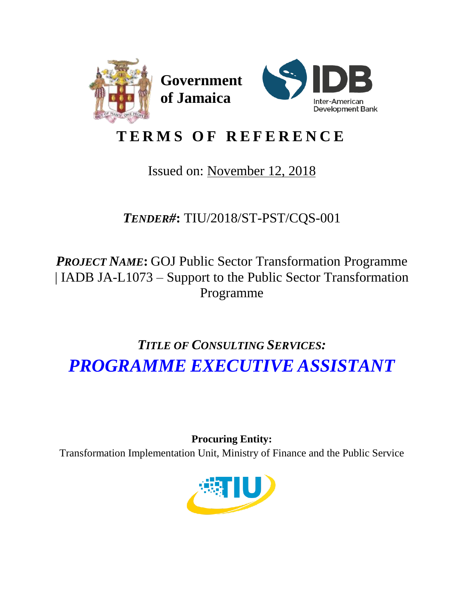

# **T E R M S O F R E F E R E N C E**

# Issued on: November 12, 2018

*TENDER#***:** TIU/2018/ST-PST/CQS-001

*PROJECT NAME***:** GOJ Public Sector Transformation Programme | IADB JA-L1073 – Support to the Public Sector Transformation Programme

# *TITLE OF CONSULTING SERVICES: PROGRAMME EXECUTIVE ASSISTANT*

**Procuring Entity:**  Transformation Implementation Unit, Ministry of Finance and the Public Service

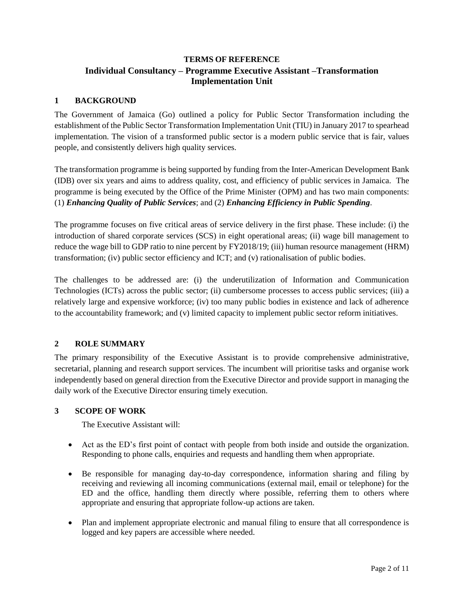## **TERMS OF REFERENCE Individual Consultancy – Programme Executive Assistant –Transformation Implementation Unit**

## **1 BACKGROUND**

The Government of Jamaica (Go) outlined a policy for Public Sector Transformation including the establishment of the Public Sector Transformation Implementation Unit (TIU) in January 2017 to spearhead implementation. The vision of a transformed public sector is a modern public service that is fair, values people, and consistently delivers high quality services.

The transformation programme is being supported by funding from the Inter-American Development Bank (IDB) over six years and aims to address quality, cost, and efficiency of public services in Jamaica. The programme is being executed by the Office of the Prime Minister (OPM) and has two main components: (1) *Enhancing Quality of Public Services*; and (2) *Enhancing Efficiency in Public Spending*.

The programme focuses on five critical areas of service delivery in the first phase. These include: (i) the introduction of shared corporate services (SCS) in eight operational areas; (ii) wage bill management to reduce the wage bill to GDP ratio to nine percent by FY2018/19; (iii) human resource management (HRM) transformation; (iv) public sector efficiency and ICT; and (v) rationalisation of public bodies.

The challenges to be addressed are: (i) the underutilization of Information and Communication Technologies (ICTs) across the public sector; (ii) cumbersome processes to access public services; (iii) a relatively large and expensive workforce; (iv) too many public bodies in existence and lack of adherence to the accountability framework; and (v) limited capacity to implement public sector reform initiatives.

## **2 ROLE SUMMARY**

The primary responsibility of the Executive Assistant is to provide comprehensive administrative, secretarial, planning and research support services. The incumbent will prioritise tasks and organise work independently based on general direction from the Executive Director and provide support in managing the daily work of the Executive Director ensuring timely execution.

#### **3 SCOPE OF WORK**

The Executive Assistant will:

- Act as the ED's first point of contact with people from both inside and outside the organization. Responding to phone calls, enquiries and requests and handling them when appropriate.
- Be responsible for managing day-to-day correspondence, information sharing and filing by receiving and reviewing all incoming communications (external mail, email or telephone) for the ED and the office, handling them directly where possible, referring them to others where appropriate and ensuring that appropriate follow-up actions are taken.
- Plan and implement appropriate electronic and manual filing to ensure that all correspondence is logged and key papers are accessible where needed.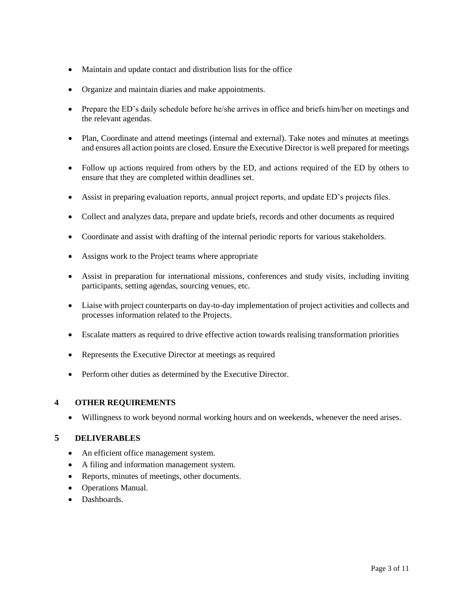- Maintain and update contact and distribution lists for the office
- Organize and maintain diaries and make appointments.
- Prepare the ED's daily schedule before he/she arrives in office and briefs him/her on meetings and the relevant agendas.
- Plan, Coordinate and attend meetings (internal and external). Take notes and minutes at meetings and ensures all action points are closed. Ensure the Executive Director is well prepared for meetings
- Follow up actions required from others by the ED, and actions required of the ED by others to ensure that they are completed within deadlines set.
- Assist in preparing evaluation reports, annual project reports, and update ED's projects files.
- Collect and analyzes data, prepare and update briefs, records and other documents as required
- Coordinate and assist with drafting of the internal periodic reports for various stakeholders.
- Assigns work to the Project teams where appropriate
- Assist in preparation for international missions, conferences and study visits, including inviting participants, setting agendas, sourcing venues, etc.
- Liaise with project counterparts on day-to-day implementation of project activities and collects and processes information related to the Projects.
- Escalate matters as required to drive effective action towards realising transformation priorities
- Represents the Executive Director at meetings as required
- Perform other duties as determined by the Executive Director.

#### **4 OTHER REQUIREMENTS**

Willingness to work beyond normal working hours and on weekends, whenever the need arises.

#### **5 DELIVERABLES**

- An efficient office management system.
- A filing and information management system.
- Reports, minutes of meetings, other documents.
- Operations Manual.
- Dashboards.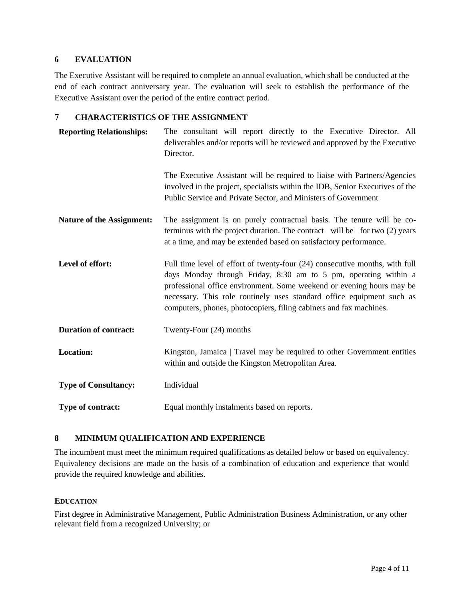#### **6 EVALUATION**

The Executive Assistant will be required to complete an annual evaluation, which shall be conducted at the end of each contract anniversary year. The evaluation will seek to establish the performance of the Executive Assistant over the period of the entire contract period.

#### **7 CHARACTERISTICS OF THE ASSIGNMENT**

| <b>Reporting Relationships:</b>  | The consultant will report directly to the Executive Director. All<br>deliverables and/or reports will be reviewed and approved by the Executive<br>Director.                                                                                                                                                                                                          |
|----------------------------------|------------------------------------------------------------------------------------------------------------------------------------------------------------------------------------------------------------------------------------------------------------------------------------------------------------------------------------------------------------------------|
|                                  | The Executive Assistant will be required to liaise with Partners/Agencies<br>involved in the project, specialists within the IDB, Senior Executives of the<br>Public Service and Private Sector, and Ministers of Government                                                                                                                                           |
| <b>Nature of the Assignment:</b> | The assignment is on purely contractual basis. The tenure will be co-<br>terminus with the project duration. The contract will be for two (2) years<br>at a time, and may be extended based on satisfactory performance.                                                                                                                                               |
| Level of effort:                 | Full time level of effort of twenty-four (24) consecutive months, with full<br>days Monday through Friday, 8:30 am to 5 pm, operating within a<br>professional office environment. Some weekend or evening hours may be<br>necessary. This role routinely uses standard office equipment such as<br>computers, phones, photocopiers, filing cabinets and fax machines. |
| <b>Duration of contract:</b>     | Twenty-Four (24) months                                                                                                                                                                                                                                                                                                                                                |
| <b>Location:</b>                 | Kingston, Jamaica   Travel may be required to other Government entities<br>within and outside the Kingston Metropolitan Area.                                                                                                                                                                                                                                          |
| <b>Type of Consultancy:</b>      | Individual                                                                                                                                                                                                                                                                                                                                                             |
| Type of contract:                | Equal monthly instalments based on reports.                                                                                                                                                                                                                                                                                                                            |

#### **8 MINIMUM QUALIFICATION AND EXPERIENCE**

The incumbent must meet the minimum required qualifications as detailed below or based on equivalency. Equivalency decisions are made on the basis of a combination of education and experience that would provide the required knowledge and abilities.

#### **EDUCATION**

First degree in Administrative Management, Public Administration Business Administration, or any other relevant field from a recognized University; or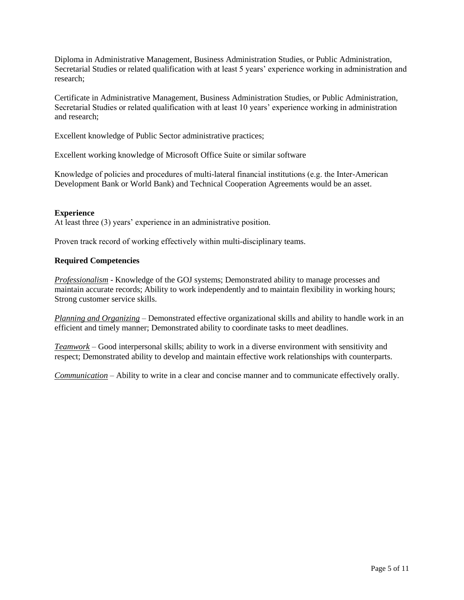Diploma in Administrative Management, Business Administration Studies, or Public Administration, Secretarial Studies or related qualification with at least 5 years' experience working in administration and research;

Certificate in Administrative Management, Business Administration Studies, or Public Administration, Secretarial Studies or related qualification with at least 10 years' experience working in administration and research;

Excellent knowledge of Public Sector administrative practices;

Excellent working knowledge of Microsoft Office Suite or similar software

Knowledge of policies and procedures of multi-lateral financial institutions (e.g. the Inter-American Development Bank or World Bank) and Technical Cooperation Agreements would be an asset.

#### **Experience**

At least three (3) years' experience in an administrative position.

Proven track record of working effectively within multi-disciplinary teams.

#### **Required Competencies**

*Professionalism* - Knowledge of the GOJ systems; Demonstrated ability to manage processes and maintain accurate records; Ability to work independently and to maintain flexibility in working hours; Strong customer service skills.

*Planning and Organizing* – Demonstrated effective organizational skills and ability to handle work in an efficient and timely manner; Demonstrated ability to coordinate tasks to meet deadlines.

*Teamwork* – Good interpersonal skills; ability to work in a diverse environment with sensitivity and respect; Demonstrated ability to develop and maintain effective work relationships with counterparts.

*Communication* – Ability to write in a clear and concise manner and to communicate effectively orally.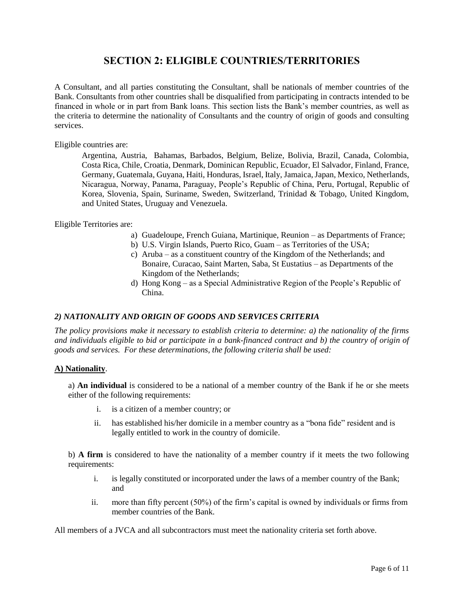# **SECTION 2: ELIGIBLE COUNTRIES/TERRITORIES**

A Consultant, and all parties constituting the Consultant, shall be nationals of member countries of the Bank. Consultants from other countries shall be disqualified from participating in contracts intended to be financed in whole or in part from Bank loans. This section lists the Bank's member countries, as well as the criteria to determine the nationality of Consultants and the country of origin of goods and consulting services.

#### Eligible countries are:

Argentina, Austria, Bahamas, Barbados, Belgium, Belize, Bolivia, Brazil, Canada, Colombia, Costa Rica, Chile, Croatia, Denmark, Dominican Republic, Ecuador, El Salvador, Finland, France, Germany, Guatemala, Guyana, Haiti, Honduras, Israel, Italy, Jamaica, Japan, Mexico, Netherlands, Nicaragua, Norway, Panama, Paraguay, People's Republic of China, Peru, Portugal, Republic of Korea, Slovenia, Spain, Suriname, Sweden, Switzerland, Trinidad & Tobago, United Kingdom, and United States, Uruguay and Venezuela.

Eligible Territories are:

- a) Guadeloupe, French Guiana, Martinique, Reunion as Departments of France;
- b) U.S. Virgin Islands, Puerto Rico, Guam as Territories of the USA;
- c) Aruba as a constituent country of the Kingdom of the Netherlands; and Bonaire, Curacao, Saint Marten, Saba, St Eustatius – as Departments of the Kingdom of the Netherlands;
- d) Hong Kong as a Special Administrative Region of the People's Republic of China.

#### *2) NATIONALITY AND ORIGIN OF GOODS AND SERVICES CRITERIA*

*The policy provisions make it necessary to establish criteria to determine: a) the nationality of the firms and individuals eligible to bid or participate in a bank-financed contract and b) the country of origin of goods and services. For these determinations, the following criteria shall be used:*

#### **A) Nationality**.

a) **An individual** is considered to be a national of a member country of the Bank if he or she meets either of the following requirements:

- i. is a citizen of a member country; or
- ii. has established his/her domicile in a member country as a "bona fide" resident and is legally entitled to work in the country of domicile.

b) **A firm** is considered to have the nationality of a member country if it meets the two following requirements:

- i. is legally constituted or incorporated under the laws of a member country of the Bank; and
- ii. more than fifty percent (50%) of the firm's capital is owned by individuals or firms from member countries of the Bank.

All members of a JVCA and all subcontractors must meet the nationality criteria set forth above.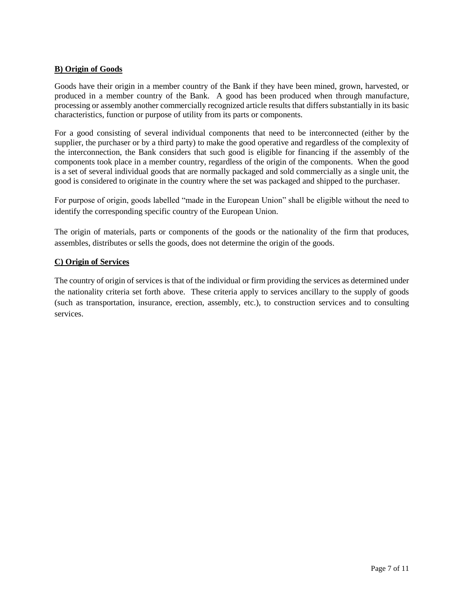#### **B) Origin of Goods**

Goods have their origin in a member country of the Bank if they have been mined, grown, harvested, or produced in a member country of the Bank. A good has been produced when through manufacture, processing or assembly another commercially recognized article results that differs substantially in its basic characteristics, function or purpose of utility from its parts or components.

For a good consisting of several individual components that need to be interconnected (either by the supplier, the purchaser or by a third party) to make the good operative and regardless of the complexity of the interconnection, the Bank considers that such good is eligible for financing if the assembly of the components took place in a member country, regardless of the origin of the components. When the good is a set of several individual goods that are normally packaged and sold commercially as a single unit, the good is considered to originate in the country where the set was packaged and shipped to the purchaser.

For purpose of origin, goods labelled "made in the European Union" shall be eligible without the need to identify the corresponding specific country of the European Union.

The origin of materials, parts or components of the goods or the nationality of the firm that produces, assembles, distributes or sells the goods, does not determine the origin of the goods.

#### **C) Origin of Services**

The country of origin of services is that of the individual or firm providing the services as determined under the nationality criteria set forth above. These criteria apply to services ancillary to the supply of goods (such as transportation, insurance, erection, assembly, etc.), to construction services and to consulting services.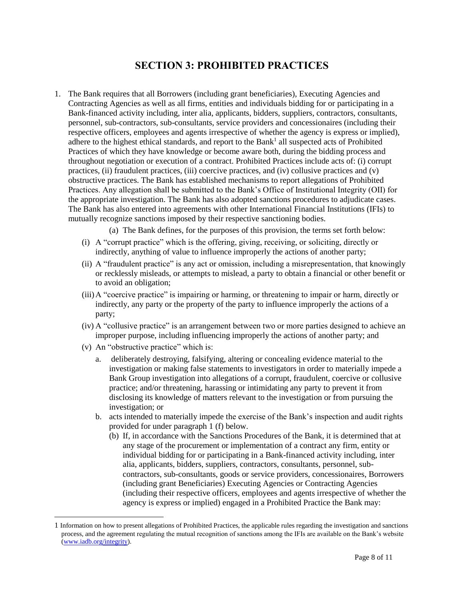# **SECTION 3: PROHIBITED PRACTICES**

1. The Bank requires that all Borrowers (including grant beneficiaries), Executing Agencies and Contracting Agencies as well as all firms, entities and individuals bidding for or participating in a Bank-financed activity including, inter alia, applicants, bidders, suppliers, contractors, consultants, personnel, sub-contractors, sub-consultants, service providers and concessionaires (including their respective officers, employees and agents irrespective of whether the agency is express or implied), adhere to the highest ethical standards, and report to the Bank<sup>1</sup> all suspected acts of Prohibited Practices of which they have knowledge or become aware both, during the bidding process and throughout negotiation or execution of a contract. Prohibited Practices include acts of: (i) corrupt practices, (ii) fraudulent practices, (iii) coercive practices, and (iv) collusive practices and (v) obstructive practices. The Bank has established mechanisms to report allegations of Prohibited Practices. Any allegation shall be submitted to the Bank's Office of Institutional Integrity (OII) for the appropriate investigation. The Bank has also adopted sanctions procedures to adjudicate cases. The Bank has also entered into agreements with other International Financial Institutions (IFIs) to mutually recognize sanctions imposed by their respective sanctioning bodies.

(a) The Bank defines, for the purposes of this provision, the terms set forth below:

- (i) A "corrupt practice" which is the offering, giving, receiving, or soliciting, directly or indirectly, anything of value to influence improperly the actions of another party;
- (ii) A "fraudulent practice" is any act or omission, including a misrepresentation, that knowingly or recklessly misleads, or attempts to mislead, a party to obtain a financial or other benefit or to avoid an obligation;
- (iii)A "coercive practice" is impairing or harming, or threatening to impair or harm, directly or indirectly, any party or the property of the party to influence improperly the actions of a party;
- (iv) A "collusive practice" is an arrangement between two or more parties designed to achieve an improper purpose, including influencing improperly the actions of another party; and
- (v) An "obstructive practice" which is:

l

- a. deliberately destroying, falsifying, altering or concealing evidence material to the investigation or making false statements to investigators in order to materially impede a Bank Group investigation into allegations of a corrupt, fraudulent, coercive or collusive practice; and/or threatening, harassing or intimidating any party to prevent it from disclosing its knowledge of matters relevant to the investigation or from pursuing the investigation; or
- b. acts intended to materially impede the exercise of the Bank's inspection and audit rights provided for under paragraph 1 (f) below.
	- (b) If, in accordance with the Sanctions Procedures of the Bank, it is determined that at any stage of the procurement or implementation of a contract any firm, entity or individual bidding for or participating in a Bank-financed activity including, inter alia, applicants, bidders, suppliers, contractors, consultants, personnel, subcontractors, sub-consultants, goods or service providers, concessionaires, Borrowers (including grant Beneficiaries) Executing Agencies or Contracting Agencies (including their respective officers, employees and agents irrespective of whether the agency is express or implied) engaged in a Prohibited Practice the Bank may:

<sup>1</sup> Information on how to present allegations of Prohibited Practices, the applicable rules regarding the investigation and sanctions process, and the agreement regulating the mutual recognition of sanctions among the IFIs are available on the Bank's website (www.iadb.org/integrity).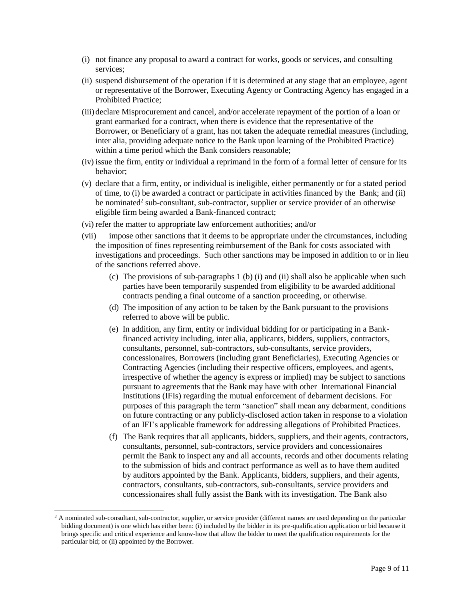- (i) not finance any proposal to award a contract for works, goods or services, and consulting services;
- (ii) suspend disbursement of the operation if it is determined at any stage that an employee, agent or representative of the Borrower, Executing Agency or Contracting Agency has engaged in a Prohibited Practice;
- (iii) declare Misprocurement and cancel, and/or accelerate repayment of the portion of a loan or grant earmarked for a contract, when there is evidence that the representative of the Borrower, or Beneficiary of a grant, has not taken the adequate remedial measures (including, inter alia, providing adequate notice to the Bank upon learning of the Prohibited Practice) within a time period which the Bank considers reasonable;
- (iv) issue the firm, entity or individual a reprimand in the form of a formal letter of censure for its behavior;
- (v) declare that a firm, entity, or individual is ineligible, either permanently or for a stated period of time, to (i) be awarded a contract or participate in activities financed by the Bank; and (ii) be nominated<sup>2</sup> sub-consultant, sub-contractor, supplier or service provider of an otherwise eligible firm being awarded a Bank-financed contract;
- (vi) refer the matter to appropriate law enforcement authorities; and/or
- (vii) impose other sanctions that it deems to be appropriate under the circumstances, including the imposition of fines representing reimbursement of the Bank for costs associated with investigations and proceedings. Such other sanctions may be imposed in addition to or in lieu of the sanctions referred above.
	- (c) The provisions of sub-paragraphs 1 (b) (i) and (ii) shall also be applicable when such parties have been temporarily suspended from eligibility to be awarded additional contracts pending a final outcome of a sanction proceeding, or otherwise.
	- (d) The imposition of any action to be taken by the Bank pursuant to the provisions referred to above will be public.
	- (e) In addition, any firm, entity or individual bidding for or participating in a Bankfinanced activity including, inter alia, applicants, bidders, suppliers, contractors, consultants, personnel, sub-contractors, sub-consultants, service providers, concessionaires, Borrowers (including grant Beneficiaries), Executing Agencies or Contracting Agencies (including their respective officers, employees, and agents, irrespective of whether the agency is express or implied) may be subject to sanctions pursuant to agreements that the Bank may have with other International Financial Institutions (IFIs) regarding the mutual enforcement of debarment decisions. For purposes of this paragraph the term "sanction" shall mean any debarment, conditions on future contracting or any publicly-disclosed action taken in response to a violation of an IFI's applicable framework for addressing allegations of Prohibited Practices.
	- (f) The Bank requires that all applicants, bidders, suppliers, and their agents, contractors, consultants, personnel, sub-contractors, service providers and concessionaires permit the Bank to inspect any and all accounts, records and other documents relating to the submission of bids and contract performance as well as to have them audited by auditors appointed by the Bank. Applicants, bidders, suppliers, and their agents, contractors, consultants, sub-contractors, sub-consultants, service providers and concessionaires shall fully assist the Bank with its investigation. The Bank also

l

 $2$  A nominated sub-consultant, sub-contractor, supplier, or service provider (different names are used depending on the particular bidding document) is one which has either been: (i) included by the bidder in its pre-qualification application or bid because it brings specific and critical experience and know-how that allow the bidder to meet the qualification requirements for the particular bid; or (ii) appointed by the Borrower.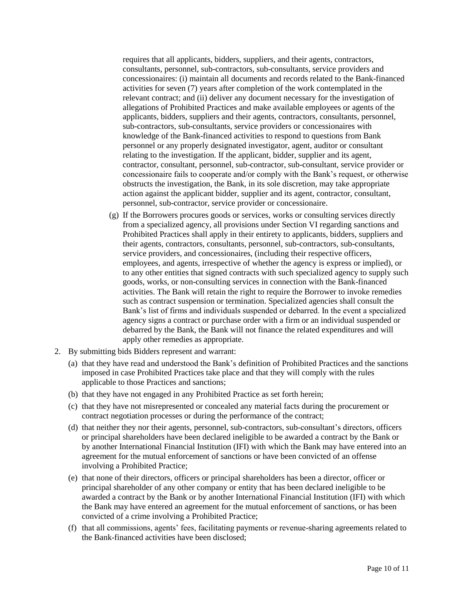requires that all applicants, bidders, suppliers, and their agents, contractors, consultants, personnel, sub-contractors, sub-consultants, service providers and concessionaires: (i) maintain all documents and records related to the Bank-financed activities for seven (7) years after completion of the work contemplated in the relevant contract; and (ii) deliver any document necessary for the investigation of allegations of Prohibited Practices and make available employees or agents of the applicants, bidders, suppliers and their agents, contractors, consultants, personnel, sub-contractors, sub-consultants, service providers or concessionaires with knowledge of the Bank-financed activities to respond to questions from Bank personnel or any properly designated investigator, agent, auditor or consultant relating to the investigation. If the applicant, bidder, supplier and its agent, contractor, consultant, personnel, sub-contractor, sub-consultant, service provider or concessionaire fails to cooperate and/or comply with the Bank's request, or otherwise obstructs the investigation, the Bank, in its sole discretion, may take appropriate action against the applicant bidder, supplier and its agent, contractor, consultant, personnel, sub-contractor, service provider or concessionaire.

- (g) If the Borrowers procures goods or services, works or consulting services directly from a specialized agency, all provisions under Section VI regarding sanctions and Prohibited Practices shall apply in their entirety to applicants, bidders, suppliers and their agents, contractors, consultants, personnel, sub-contractors, sub-consultants, service providers, and concessionaires, (including their respective officers, employees, and agents, irrespective of whether the agency is express or implied), or to any other entities that signed contracts with such specialized agency to supply such goods, works, or non-consulting services in connection with the Bank-financed activities. The Bank will retain the right to require the Borrower to invoke remedies such as contract suspension or termination. Specialized agencies shall consult the Bank's list of firms and individuals suspended or debarred. In the event a specialized agency signs a contract or purchase order with a firm or an individual suspended or debarred by the Bank, the Bank will not finance the related expenditures and will apply other remedies as appropriate.
- 2. By submitting bids Bidders represent and warrant:
	- (a) that they have read and understood the Bank's definition of Prohibited Practices and the sanctions imposed in case Prohibited Practices take place and that they will comply with the rules applicable to those Practices and sanctions;
	- (b) that they have not engaged in any Prohibited Practice as set forth herein;
	- (c) that they have not misrepresented or concealed any material facts during the procurement or contract negotiation processes or during the performance of the contract;
	- (d) that neither they nor their agents, personnel, sub-contractors, sub-consultant's directors, officers or principal shareholders have been declared ineligible to be awarded a contract by the Bank or by another International Financial Institution (IFI) with which the Bank may have entered into an agreement for the mutual enforcement of sanctions or have been convicted of an offense involving a Prohibited Practice;
	- (e) that none of their directors, officers or principal shareholders has been a director, officer or principal shareholder of any other company or entity that has been declared ineligible to be awarded a contract by the Bank or by another International Financial Institution (IFI) with which the Bank may have entered an agreement for the mutual enforcement of sanctions, or has been convicted of a crime involving a Prohibited Practice;
	- (f) that all commissions, agents' fees, facilitating payments or revenue-sharing agreements related to the Bank-financed activities have been disclosed;